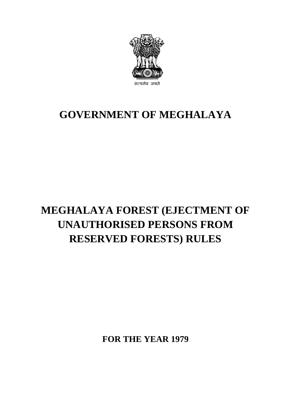

## **GOVERNMENT OF MEGHALAYA**

## **MEGHALAYA FOREST (EJECTMENT OF UNAUTHORISED PERSONS FROM RESERVED FORESTS) RULES**

**FOR THE YEAR 1979**